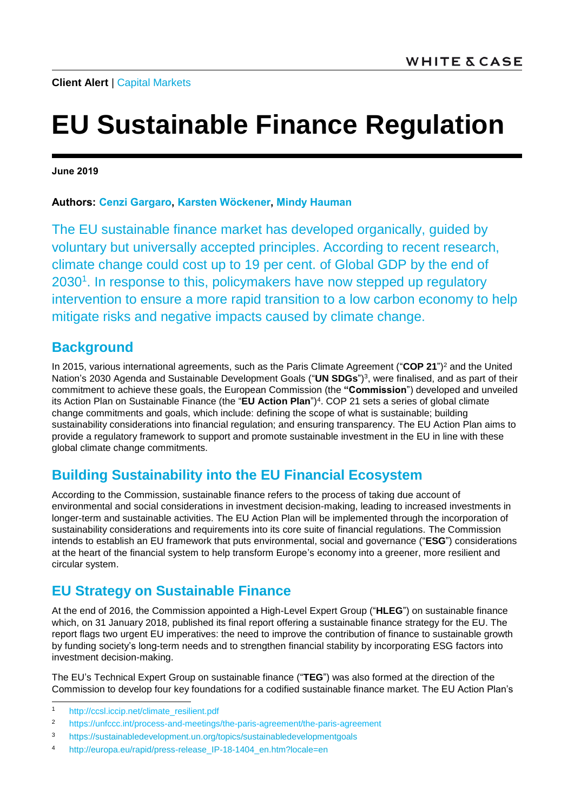# **EU Sustainable Finance Regulation**

**June 2019**

#### **Authors: [Cenzi Gargaro,](https://www.whitecase.com/people/cenzi-gargaro) [Karsten Wöckener,](https://www.whitecase.com/people/karsten-wockener) [Mindy Hauman](https://www.whitecase.com/people/mindy-hauman)**

The EU sustainable finance market has developed organically, guided by voluntary but universally accepted principles. According to recent research, climate change could cost up to 19 per cent. of Global GDP by the end of 2030<sup>1</sup>. In response to this, policymakers have now stepped up regulatory intervention to ensure a more rapid transition to a low carbon economy to help mitigate risks and negative impacts caused by climate change.

#### **Background**

In 2015, various international agreements, such as the Paris Climate Agreement ("**COP 21**") <sup>2</sup> and the United Nation's 2030 Agenda and Sustainable Development Goals ("**UN SDGs**") 3 , were finalised, and as part of their commitment to achieve these goals, the European Commission (the **"Commission**") developed and unveiled its Action Plan on Sustainable Finance (the "**EU Action Plan**") 4 . COP 21 sets a series of global climate change commitments and goals, which include: defining the scope of what is sustainable; building sustainability considerations into financial regulation; and ensuring transparency. The EU Action Plan aims to provide a regulatory framework to support and promote sustainable investment in the EU in line with these global climate change commitments.

#### **Building Sustainability into the EU Financial Ecosystem**

According to the Commission, sustainable finance refers to the process of taking due account of environmental and social considerations in investment decision-making, leading to increased investments in longer-term and sustainable activities. The EU Action Plan will be implemented through the incorporation of sustainability considerations and requirements into its core suite of financial regulations. The Commission intends to establish an EU framework that puts environmental, social and governance ("**ESG**") considerations at the heart of the financial system to help transform Europe's economy into a greener, more resilient and circular system.

#### **EU Strategy on Sustainable Finance**

At the end of 2016, the Commission appointed a High-Level Expert Group ("**HLEG**") on sustainable finance which, on 31 January 2018, published its final report offering a sustainable finance strategy for the EU. The report flags two urgent EU imperatives: the need to improve the contribution of finance to sustainable growth by funding society's long-term needs and to strengthen financial stability by incorporating ESG factors into investment decision-making.

The EU's Technical Expert Group on sustainable finance ("**TEG**") was also formed at the direction of the Commission to develop four key foundations for a codified sustainable finance market. The EU Action Plan's

l

<sup>1</sup> [http://ccsl.iccip.net/climate\\_resilient.pdf](http://ccsl.iccip.net/climate_resilient.pdf)

<sup>2</sup> <https://unfccc.int/process-and-meetings/the-paris-agreement/the-paris-agreement>

<sup>3</sup> <https://sustainabledevelopment.un.org/topics/sustainabledevelopmentgoals>

<sup>4</sup> [http://europa.eu/rapid/press-release\\_IP-18-1404\\_en.htm?locale=en](http://europa.eu/rapid/press-release_IP-18-1404_en.htm?locale=en)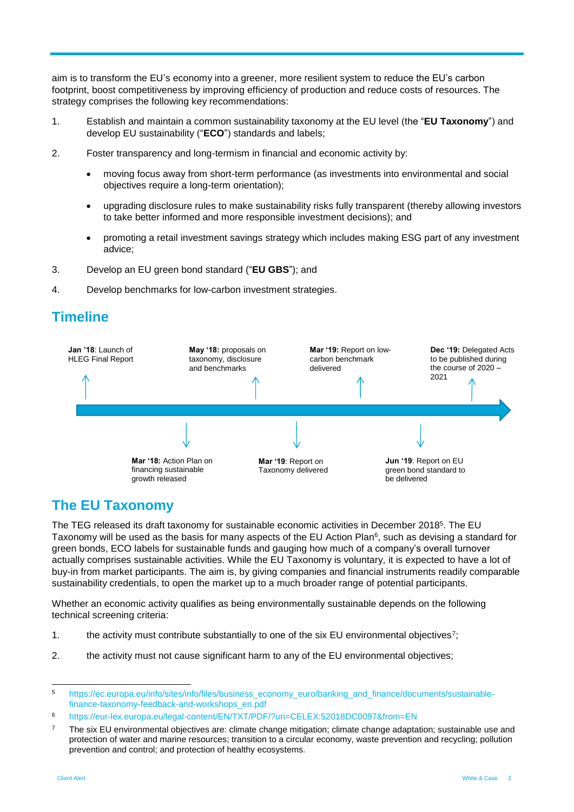aim is to transform the EU's economy into a greener, more resilient system to reduce the EU's carbon footprint, boost competitiveness by improving efficiency of production and reduce costs of resources. The strategy comprises the following key recommendations:

- 1. Establish and maintain a common sustainability taxonomy at the EU level (the "**EU Taxonomy**") and develop EU sustainability ("**ECO**") standards and labels;
- 2. Foster transparency and long-termism in financial and economic activity by:
	- moving focus away from short-term performance (as investments into environmental and social objectives require a long-term orientation);
	- upgrading disclosure rules to make sustainability risks fully transparent (thereby allowing investors to take better informed and more responsible investment decisions); and
	- promoting a retail investment savings strategy which includes making ESG part of any investment advice;
- 3. Develop an EU green bond standard ("**EU GBS**"); and
- 4. Develop benchmarks for low-carbon investment strategies.

#### **Timeline**



#### **The EU Taxonomy**

The TEG released its draft taxonomy for sustainable economic activities in December 2018<sup>5</sup>. The EU Taxonomy will be used as the basis for many aspects of the EU Action Plan<sup>6</sup>, such as devising a standard for green bonds, ECO labels for sustainable funds and gauging how much of a company's overall turnover actually comprises sustainable activities. While the EU Taxonomy is voluntary, it is expected to have a lot of buy-in from market participants. The aim is, by giving companies and financial instruments readily comparable sustainability credentials, to open the market up to a much broader range of potential participants.

Whether an economic activity qualifies as being environmentally sustainable depends on the following technical screening criteria:

- 1. the activity must contribute substantially to one of the six EU environmental objectives<sup>7</sup>;
- 2. the activity must not cause significant harm to any of the EU environmental objectives;

l

<sup>5</sup> [https://ec.europa.eu/info/sites/info/files/business\\_economy\\_euro/banking\\_and\\_finance/documents/sustainable](https://ec.europa.eu/info/sites/info/files/business_economy_euro/banking_and_finance/documents/sustainable-finance-taxonomy-feedback-and-workshops_en.pdf)[finance-taxonomy-feedback-and-workshops\\_en.pdf](https://ec.europa.eu/info/sites/info/files/business_economy_euro/banking_and_finance/documents/sustainable-finance-taxonomy-feedback-and-workshops_en.pdf)

<sup>6</sup> https://eur-lex.europa.eu/legal-content/EN/TXT/PDF/?uri=CELEX:52018DC0097&from=EN

 $7$  The six EU environmental objectives are: climate change mitigation; climate change adaptation; sustainable use and protection of water and marine resources; transition to a circular economy, waste prevention and recycling; pollution prevention and control; and protection of healthy ecosystems.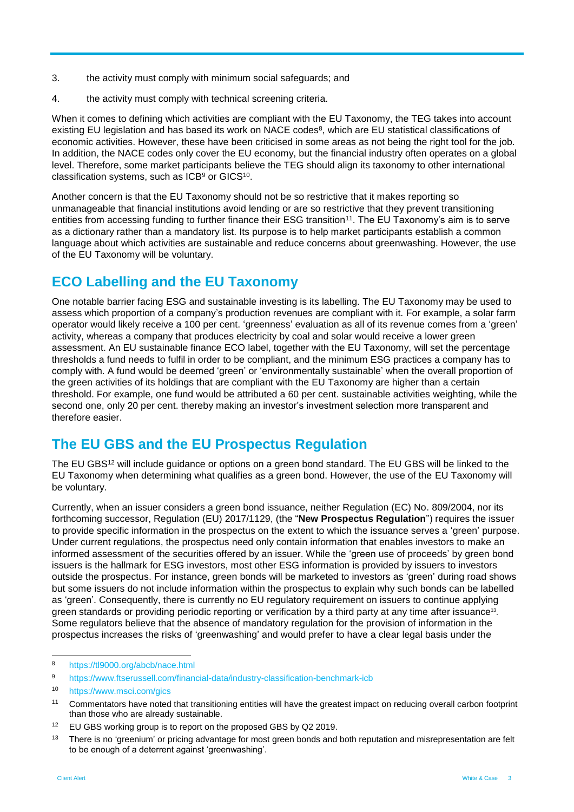- 3. the activity must comply with minimum social safeguards; and
- 4. the activity must comply with technical screening criteria.

When it comes to defining which activities are compliant with the EU Taxonomy, the TEG takes into account existing EU legislation and has based its work on NACE codes<sup>8</sup>, which are EU statistical classifications of economic activities. However, these have been criticised in some areas as not being the right tool for the job. In addition, the NACE codes only cover the EU economy, but the financial industry often operates on a global level. Therefore, some market participants believe the TEG should align its taxonomy to other international classification systems, such as ICB<sup>9</sup> or GICS<sup>10</sup>.

Another concern is that the EU Taxonomy should not be so restrictive that it makes reporting so unmanageable that financial institutions avoid lending or are so restrictive that they prevent transitioning entities from accessing funding to further finance their ESG transition<sup>11</sup>. The EU Taxonomy's aim is to serve as a dictionary rather than a mandatory list. Its purpose is to help market participants establish a common language about which activities are sustainable and reduce concerns about greenwashing. However, the use of the EU Taxonomy will be voluntary.

# **ECO Labelling and the EU Taxonomy**

One notable barrier facing ESG and sustainable investing is its labelling. The EU Taxonomy may be used to assess which proportion of a company's production revenues are compliant with it. For example, a solar farm operator would likely receive a 100 per cent. 'greenness' evaluation as all of its revenue comes from a 'green' activity, whereas a company that produces electricity by coal and solar would receive a lower green assessment. An EU sustainable finance ECO label, together with the EU Taxonomy, will set the percentage thresholds a fund needs to fulfil in order to be compliant, and the minimum ESG practices a company has to comply with. A fund would be deemed 'green' or 'environmentally sustainable' when the overall proportion of the green activities of its holdings that are compliant with the EU Taxonomy are higher than a certain threshold. For example, one fund would be attributed a 60 per cent. sustainable activities weighting, while the second one, only 20 per cent. thereby making an investor's investment selection more transparent and therefore easier.

# **The EU GBS and the EU Prospectus Regulation**

The EU GBS<sup>12</sup> will include guidance or options on a green bond standard. The EU GBS will be linked to the EU Taxonomy when determining what qualifies as a green bond. However, the use of the EU Taxonomy will be voluntary.

Currently, when an issuer considers a green bond issuance, neither Regulation (EC) No. 809/2004, nor its forthcoming successor, Regulation (EU) 2017/1129, (the "**New Prospectus Regulation**") requires the issuer to provide specific information in the prospectus on the extent to which the issuance serves a 'green' purpose. Under current regulations, the prospectus need only contain information that enables investors to make an informed assessment of the securities offered by an issuer. While the 'green use of proceeds' by green bond issuers is the hallmark for ESG investors, most other ESG information is provided by issuers to investors outside the prospectus. For instance, green bonds will be marketed to investors as 'green' during road shows but some issuers do not include information within the prospectus to explain why such bonds can be labelled as 'green'. Consequently, there is currently no EU regulatory requirement on issuers to continue applying green standards or providing periodic reporting or verification by a third party at any time after issuance<sup>13</sup>. Some regulators believe that the absence of mandatory regulation for the provision of information in the prospectus increases the risks of 'greenwashing' and would prefer to have a clear legal basis under the

 $\mathbf{a}$ <sup>8</sup> <https://tl9000.org/abcb/nace.html>

<sup>9</sup> <https://www.ftserussell.com/financial-data/industry-classification-benchmark-icb>

<sup>10</sup> <https://www.msci.com/gics>

<sup>11</sup> Commentators have noted that transitioning entities will have the greatest impact on reducing overall carbon footprint than those who are already sustainable.

<sup>&</sup>lt;sup>12</sup> EU GBS working group is to report on the proposed GBS by Q2 2019.

<sup>&</sup>lt;sup>13</sup> There is no 'greenium' or pricing advantage for most green bonds and both reputation and misrepresentation are felt to be enough of a deterrent against 'greenwashing'.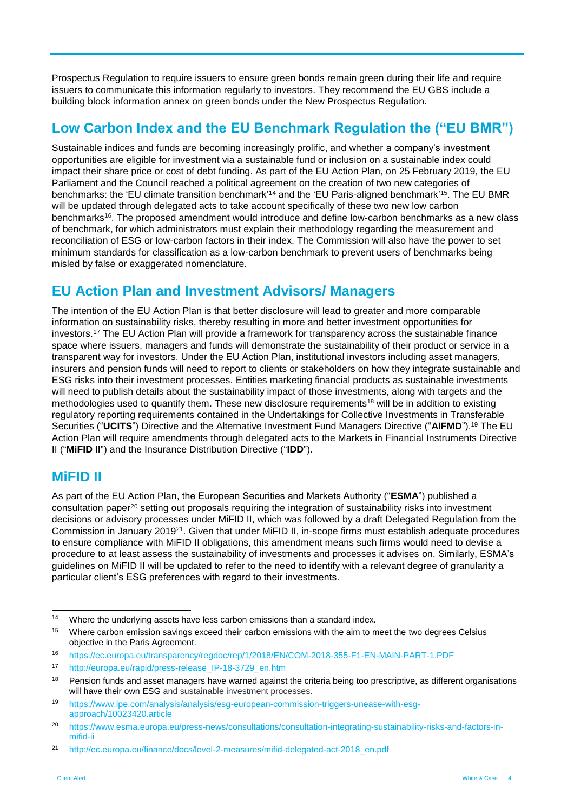Prospectus Regulation to require issuers to ensure green bonds remain green during their life and require issuers to communicate this information regularly to investors. They recommend the EU GBS include a building block information annex on green bonds under the New Prospectus Regulation.

## **Low Carbon Index and the EU Benchmark Regulation the ("EU BMR")**

Sustainable indices and funds are becoming increasingly prolific, and whether a company's investment opportunities are eligible for investment via a sustainable fund or inclusion on a sustainable index could impact their share price or cost of debt funding. As part of the EU Action Plan, on 25 February 2019, the EU Parliament and the Council reached a political agreement on the creation of two new categories of benchmarks: the 'EU climate transition benchmark'<sup>14</sup> and the 'EU Paris-aligned benchmark'<sup>15</sup> . The EU BMR will be updated through delegated acts to take account specifically of these two new low carbon benchmarks<sup>16</sup>. The proposed amendment would introduce and define low-carbon benchmarks as a new class of benchmark, for which administrators must explain their methodology regarding the measurement and reconciliation of ESG or low-carbon factors in their index. The Commission will also have the power to set minimum standards for classification as a low-carbon benchmark to prevent users of benchmarks being misled by false or exaggerated nomenclature.

# **EU Action Plan and Investment Advisors/ Managers**

The intention of the EU Action Plan is that better disclosure will lead to greater and more comparable information on sustainability risks, thereby resulting in more and better investment opportunities for investors.<sup>17</sup> The EU Action Plan will provide a framework for transparency across the sustainable finance space where issuers, managers and funds will demonstrate the sustainability of their product or service in a transparent way for investors. Under the EU Action Plan, institutional investors including asset managers, insurers and pension funds will need to report to clients or stakeholders on how they integrate sustainable and ESG risks into their investment processes. Entities marketing financial products as sustainable investments will need to publish details about the sustainability impact of those investments, along with targets and the methodologies used to quantify them. These new disclosure requirements<sup>18</sup> will be in addition to existing regulatory reporting requirements contained in the Undertakings for Collective Investments in Transferable Securities ("**UCITS**") Directive and the Alternative Investment Fund Managers Directive ("**AIFMD**").<sup>19</sup> The EU Action Plan will require amendments through delegated acts to the Markets in Financial Instruments Directive II ("**MiFID II**") and the Insurance Distribution Directive ("**IDD**").

# **MiFID II**

As part of the EU Action Plan, the European Securities and Markets Authority ("**ESMA**") published a consultation paper<sup>20</sup> setting out proposals requiring the integration of sustainability risks into investment decisions or advisory processes under MiFID II, which was followed by a draft Delegated Regulation from the Commission in January 2019<sup>21</sup>. Given that under MiFID II, in-scope firms must establish adequate procedures to ensure compliance with MiFID II obligations, this amendment means such firms would need to devise a procedure to at least assess the sustainability of investments and processes it advises on. Similarly, ESMA's guidelines on MiFID II will be updated to refer to the need to identify with a relevant degree of granularity a particular client's ESG preferences with regard to their investments.

 $14$ Where the underlying assets have less carbon emissions than a standard index.

<sup>&</sup>lt;sup>15</sup> Where carbon emission savings exceed their carbon emissions with the aim to meet the two degrees Celsius objective in the Paris Agreement.

<sup>16</sup> <https://ec.europa.eu/transparency/regdoc/rep/1/2018/EN/COM-2018-355-F1-EN-MAIN-PART-1.PDF>

<sup>17</sup> http://europa.eu/rapid/press-release\_IP-18-3729\_en.htm

<sup>&</sup>lt;sup>18</sup> Pension funds and asset managers have warned against the criteria being too prescriptive, as different organisations will have their own ESG and sustainable investment processes.

<sup>19</sup> [https://www.ipe.com/analysis/analysis/esg-european-commission-triggers-unease-with-esg](https://www.ipe.com/analysis/analysis/esg-european-commission-triggers-unease-with-esg-approach/10023420.article)[approach/10023420.article](https://www.ipe.com/analysis/analysis/esg-european-commission-triggers-unease-with-esg-approach/10023420.article)

<sup>20</sup> [https://www.esma.europa.eu/press-news/consultations/consultation-integrating-sustainability-risks-and-factors-in](https://www.esma.europa.eu/press-news/consultations/consultation-integrating-sustainability-risks-and-factors-in-mifid-ii)[mifid-ii](https://www.esma.europa.eu/press-news/consultations/consultation-integrating-sustainability-risks-and-factors-in-mifid-ii)

<sup>21</sup> [http://ec.europa.eu/finance/docs/level-2-measures/mifid-delegated-act-2018\\_en.pdf](http://ec.europa.eu/finance/docs/level-2-measures/mifid-delegated-act-2018_en.pdf)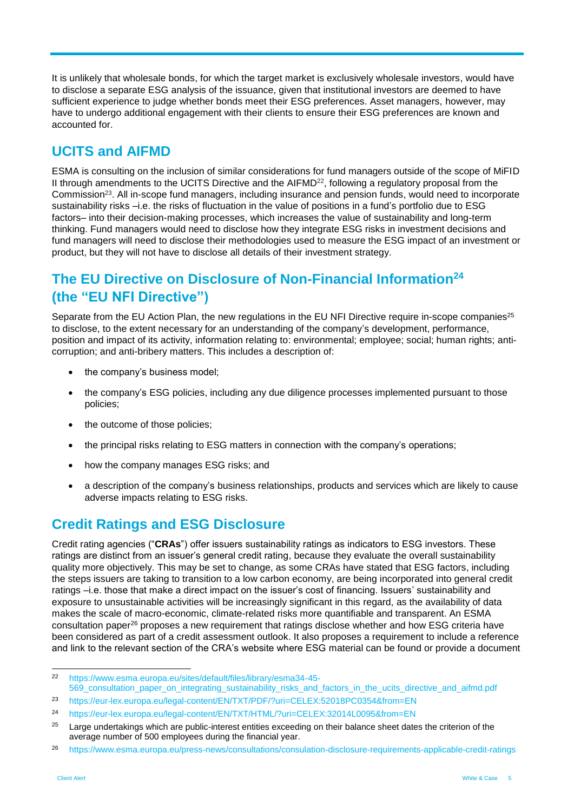It is unlikely that wholesale bonds, for which the target market is exclusively wholesale investors, would have to disclose a separate ESG analysis of the issuance, given that institutional investors are deemed to have sufficient experience to judge whether bonds meet their ESG preferences. Asset managers, however, may have to undergo additional engagement with their clients to ensure their ESG preferences are known and accounted for.

## **UCITS and AIFMD**

ESMA is consulting on the inclusion of similar considerations for fund managers outside of the scope of MiFID II through amendments to the UCITS Directive and the AIFMD<sup>22</sup>, following a regulatory proposal from the Commission<sup>23</sup>. All in-scope fund managers, including insurance and pension funds, would need to incorporate sustainability risks –i.e. the risks of fluctuation in the value of positions in a fund's portfolio due to ESG factors– into their decision-making processes, which increases the value of sustainability and long-term thinking. Fund managers would need to disclose how they integrate ESG risks in investment decisions and fund managers will need to disclose their methodologies used to measure the ESG impact of an investment or product, but they will not have to disclose all details of their investment strategy.

# **The EU Directive on Disclosure of Non-Financial Information<sup>24</sup> (the "EU NFI Directive")**

Separate from the EU Action Plan, the new regulations in the EU NFI Directive require in-scope companies<sup>25</sup> to disclose, to the extent necessary for an understanding of the company's development, performance, position and impact of its activity, information relating to: environmental; employee; social; human rights; anticorruption; and anti-bribery matters. This includes a description of:

- the company's business model;
- the company's ESG policies, including any due diligence processes implemented pursuant to those policies;
- the outcome of those policies;
- the principal risks relating to ESG matters in connection with the company's operations;
- how the company manages ESG risks; and
- a description of the company's business relationships, products and services which are likely to cause adverse impacts relating to ESG risks.

# **Credit Ratings and ESG Disclosure**

Credit rating agencies ("**CRAs**") offer issuers sustainability ratings as indicators to ESG investors. These ratings are distinct from an issuer's general credit rating, because they evaluate the overall sustainability quality more objectively. This may be set to change, as some CRAs have stated that ESG factors, including the steps issuers are taking to transition to a low carbon economy, are being incorporated into general credit ratings –i.e. those that make a direct impact on the issuer's cost of financing. Issuers' sustainability and exposure to unsustainable activities will be increasingly significant in this regard, as the availability of data makes the scale of macro-economic, climate-related risks more quantifiable and transparent. An ESMA consultation paper<sup>26</sup> proposes a new requirement that ratings disclose whether and how ESG criteria have been considered as part of a credit assessment outlook. It also proposes a requirement to include a reference and link to the relevant section of the CRA's website where ESG material can be found or provide a document

 $22$ <sup>22</sup> [https://www.esma.europa.eu/sites/default/files/library/esma34-45-](https://www.esma.europa.eu/sites/default/files/library/esma34-45-569_consultation_paper_on_integrating_sustainability_risks_and_factors_in_the_ucits_directive_and_aifmd.pdf) [569\\_consultation\\_paper\\_on\\_integrating\\_sustainability\\_risks\\_and\\_factors\\_in\\_the\\_ucits\\_directive\\_and\\_aifmd.pdf](https://www.esma.europa.eu/sites/default/files/library/esma34-45-569_consultation_paper_on_integrating_sustainability_risks_and_factors_in_the_ucits_directive_and_aifmd.pdf)

<sup>23</sup> https://eur-lex.europa.eu/legal-content/EN/TXT/PDF/?uri=CELEX:52018PC0354&from=EN

<sup>24</sup> <https://eur-lex.europa.eu/legal-content/EN/TXT/HTML/?uri=CELEX:32014L0095&from=EN>

<sup>&</sup>lt;sup>25</sup> Large undertakings which are public-interest entities exceeding on their balance sheet dates the criterion of the average number of 500 employees during the financial year.

<sup>26</sup> <https://www.esma.europa.eu/press-news/consultations/consulation-disclosure-requirements-applicable-credit-ratings>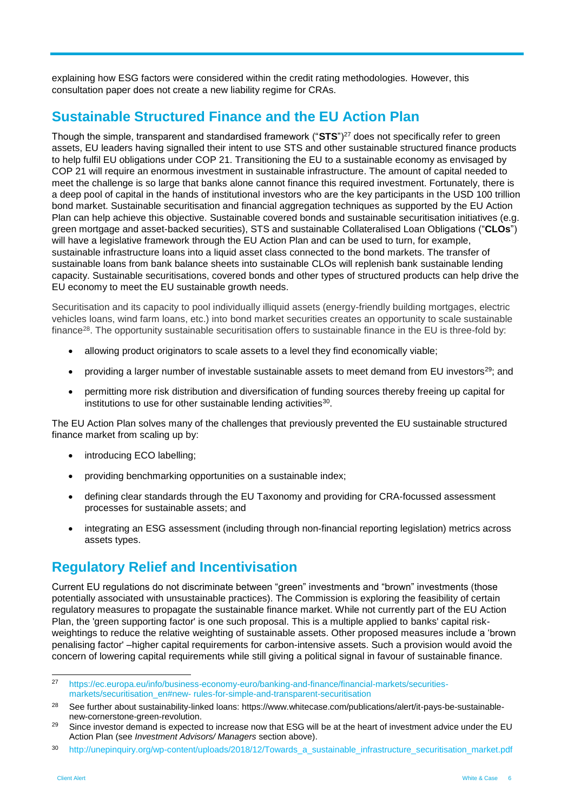explaining how ESG factors were considered within the credit rating methodologies. However, this consultation paper does not create a new liability regime for CRAs.

## **Sustainable Structured Finance and the EU Action Plan**

Though the simple, transparent and standardised framework ("**STS**")<sup>27</sup> does not specifically refer to green assets, EU leaders having signalled their intent to use STS and other sustainable structured finance products to help fulfil EU obligations under COP 21. Transitioning the EU to a sustainable economy as envisaged by COP 21 will require an enormous investment in sustainable infrastructure. The amount of capital needed to meet the challenge is so large that banks alone cannot finance this required investment. Fortunately, there is a deep pool of capital in the hands of institutional investors who are the key participants in the USD 100 trillion bond market. Sustainable securitisation and financial aggregation techniques as supported by the EU Action Plan can help achieve this objective. Sustainable covered bonds and sustainable securitisation initiatives (e.g. green mortgage and asset-backed securities), STS and sustainable Collateralised Loan Obligations ("**CLOs**") will have a legislative framework through the EU Action Plan and can be used to turn, for example, sustainable infrastructure loans into a liquid asset class connected to the bond markets. The transfer of sustainable loans from bank balance sheets into sustainable CLOs will replenish bank sustainable lending capacity. Sustainable securitisations, covered bonds and other types of structured products can help drive the EU economy to meet the EU sustainable growth needs.

Securitisation and its capacity to pool individually illiquid assets (energy-friendly building mortgages, electric vehicles loans, wind farm loans, etc.) into bond market securities creates an opportunity to scale sustainable finance<sup>28</sup>. The opportunity sustainable securitisation offers to sustainable finance in the EU is three-fold by:

- allowing product originators to scale assets to a level they find economically viable;
- providing a larger number of investable sustainable assets to meet demand from EU investors<sup>29</sup>; and
- permitting more risk distribution and diversification of funding sources thereby freeing up capital for institutions to use for other sustainable lending activities $30$ .

The EU Action Plan solves many of the challenges that previously prevented the EU sustainable structured finance market from scaling up by:

- introducing ECO labelling;
- providing benchmarking opportunities on a sustainable index;
- defining clear standards through the EU Taxonomy and providing for CRA-focussed assessment processes for sustainable assets; and
- integrating an ESG assessment (including through non-financial reporting legislation) metrics across assets types.

#### **Regulatory Relief and Incentivisation**

Current EU regulations do not discriminate between "green" investments and "brown" investments (those potentially associated with unsustainable practices). The Commission is exploring the feasibility of certain regulatory measures to propagate the sustainable finance market. While not currently part of the EU Action Plan, the 'green supporting factor' is one such proposal. This is a multiple applied to banks' capital riskweightings to reduce the relative weighting of sustainable assets. Other proposed measures include a 'brown penalising factor' –higher capital requirements for carbon-intensive assets. Such a provision would avoid the concern of lowering capital requirements while still giving a political signal in favour of sustainable finance.

 $27$ <sup>27</sup> [https://ec.europa.eu/info/business-economy-euro/banking-and-finance/financial-markets/securities](https://ec.europa.eu/info/business-economy-euro/banking-and-finance/financial-markets/securities-markets/securitisation_en#new- rules-for-simple-and-transparent-securitisation)markets/securitisation\_en#new- [rules-for-simple-and-transparent-securitisation](https://ec.europa.eu/info/business-economy-euro/banking-and-finance/financial-markets/securities-markets/securitisation_en#new- rules-for-simple-and-transparent-securitisation)

<sup>&</sup>lt;sup>28</sup> See further about sustainability-linked loans: [https://www.whitecase.com/publications/alert/it-pays-be-sustainable](https://www.whitecase.com/publications/alert/it-pays-be-sustainable-new-cornerstone-green-revolution)[new-cornerstone-green-revolution.](https://www.whitecase.com/publications/alert/it-pays-be-sustainable-new-cornerstone-green-revolution)

<sup>&</sup>lt;sup>29</sup> Since investor demand is expected to increase now that ESG will be at the heart of investment advice under the EU Action Plan (see *Investment Advisors/ Managers* section above).

<sup>30</sup> http://unepinquiry.org/wp-content/uploads/2018/12/Towards a sustainable infrastructure securitisation market.pdf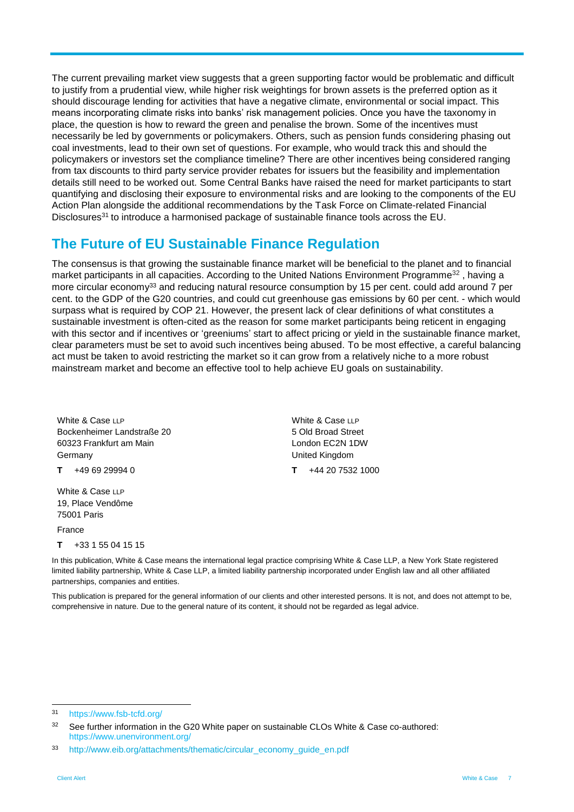The current prevailing market view suggests that a green supporting factor would be problematic and difficult to justify from a prudential view, while higher risk weightings for brown assets is the preferred option as it should discourage lending for activities that have a negative climate, environmental or social impact. This means incorporating climate risks into banks' risk management policies. Once you have the taxonomy in place, the question is how to reward the green and penalise the brown. Some of the incentives must necessarily be led by governments or policymakers. Others, such as pension funds considering phasing out coal investments, lead to their own set of questions. For example, who would track this and should the policymakers or investors set the compliance timeline? There are other incentives being considered ranging from tax discounts to third party service provider rebates for issuers but the feasibility and implementation details still need to be worked out. Some Central Banks have raised the need for market participants to start quantifying and disclosing their exposure to environmental risks and are looking to the components of the EU Action Plan alongside the additional recommendations by the Task Force on Climate-related Financial Disclosures<sup>31</sup> to introduce a harmonised package of sustainable finance tools across the EU.

#### **The Future of EU Sustainable Finance Regulation**

The consensus is that growing the sustainable finance market will be beneficial to the planet and to financial market participants in all capacities. According to the United Nations Environment Programme<sup>32</sup>, having a more circular economy<sup>33</sup> and reducing natural resource consumption by 15 per cent. could add around 7 per cent. to the GDP of the G20 countries, and could cut greenhouse gas emissions by 60 per cent. - which would surpass what is required by COP 21. However, the present lack of clear definitions of what constitutes a sustainable investment is often-cited as the reason for some market participants being reticent in engaging with this sector and if incentives or 'greeniums' start to affect pricing or yield in the sustainable finance market, clear parameters must be set to avoid such incentives being abused. To be most effective, a careful balancing act must be taken to avoid restricting the market so it can grow from a relatively niche to a more robust mainstream market and become an effective tool to help achieve EU goals on sustainability.

White & Case LLP Bockenheimer Landstraße 20 60323 Frankfurt am Main Germany

**T** +49 69 29994 0

White & Case LLP 19, Place Vendôme 75001 Paris

France

**T** +33 1 55 04 15 15

White & Case LLP 5 Old Broad Street London EC2N 1DW United Kingdom **T** +44 20 7532 1000

In this publication, White & Case means the international legal practice comprising White & Case LLP, a New York State registered limited liability partnership, White & Case LLP, a limited liability partnership incorporated under English law and all other affiliated partnerships, companies and entities.

This publication is prepared for the general information of our clients and other interested persons. It is not, and does not attempt to be, comprehensive in nature. Due to the general nature of its content, it should not be regarded as legal advice.

 $31$ <https://www.fsb-tcfd.org/>

<sup>&</sup>lt;sup>32</sup> See further information in the G20 White paper on sustainable CLOs White & Case co-authored: <https://www.unenvironment.org/>

<sup>33</sup> [http://www.eib.org/attachments/thematic/circular\\_economy\\_guide\\_en.pdf](http://www.eib.org/attachments/thematic/circular_economy_guide_en.pdf)